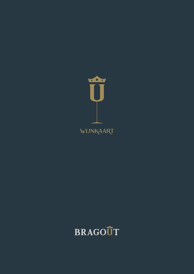

# wijNkaart

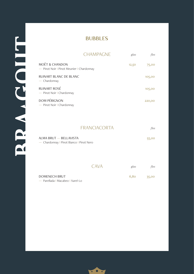#### BUBBLES

|                                                                        | <b>CHAMPAGNE</b>    | glas  | fles   |
|------------------------------------------------------------------------|---------------------|-------|--------|
| <b>MOËT &amp; CHANDON</b><br>- Pinot Noir   Pinot Meunier   Chardonnay |                     | 12,50 | 75,00  |
| RUINART BLANC DE BLANC<br>$-$ Chardonnay                               |                     |       | 105,00 |
| <b>RUINART ROSÉ</b><br>- Pinot Noir   Chardonnay                       |                     |       | 105,00 |
| <b>DOM PÉRIGNON</b><br>- Pinot Noir   Chardonnay                       |                     |       | 220,00 |
|                                                                        |                     |       |        |
|                                                                        | <b>FRANCIACORTA</b> |       | fles   |
| ALMA BRUT - BELLAVISTA<br>- Chardonnay   Pinot Bianco   Pinot Nero     |                     |       | 55,00  |
|                                                                        |                     |       |        |
|                                                                        | CAVA                | glas  | fles   |
| <b>DOMENECH BRUT</b>                                                   |                     | 6,80  | 35,00  |

— Parellada I Macabeo I Xarel-Lo

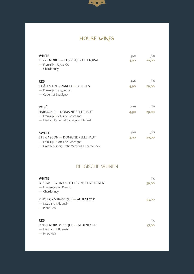

# HOUSE WINES

| <b>WHITE</b><br>TERRE NOBLE - LES VINS DU LITTORAL<br>- Frankrijk   Pays d'Oc<br>$-$ Chardonnay           | glas<br>4,90 | fles<br>29,00 |
|-----------------------------------------------------------------------------------------------------------|--------------|---------------|
| <b>RED</b><br>CHÂTEAU L'ESPARROU — BONFILS                                                                | glas<br>4,90 | fles<br>29,00 |
| - Frankrijk I Languedoc<br>- Cabernet Sauvignon                                                           |              |               |
| <b>ROSÉ</b>                                                                                               | glas         | fles          |
| HARMONIE - DOMAINE PELLEHAUT<br>- Frankrijk I Côtes de Gascogne<br>- Merlot   Cabernet Sauvignon   Tannat | 4,90         | 29,00         |
| <b>SWEET</b>                                                                                              | glas         | fles          |
| ÉTÉ GASCON — DOMAINE PELLEHAUT<br>- Frankrijk I Côtes de Gascogne                                         | 4,90         | 29,00         |

— Gros Manseng I Petit Manseng I Chardonnay

#### BELGISCHE WIJNEN

| <b>WHITE</b><br>BLAUW - WIJNKASTEEL GENOELSELDEREN<br>- Haspengouw   Riemst<br>$-$ Chardonnay | fles<br>39,00 |
|-----------------------------------------------------------------------------------------------|---------------|
| PINOT GRIS BARRIQUE - ALDENEYCK<br>— Maasland   Aldeneik<br>$-$ Pinot Gris                    | 43,00         |
| <b>RED</b><br>PINOT NOIR BARRIQUE - ALDENEYCK<br>— Maasland   Aldeneik<br>$-$ Pinot Noir      | fles<br>51,00 |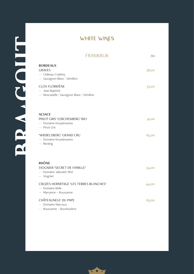| <b>FRANKRIJK</b>                                                                          | fles  |
|-------------------------------------------------------------------------------------------|-------|
| <b>BORDEAUX</b><br><b>GRAVES</b><br>- Château Crabitey<br>- Sauvignon Blanc   Sémillon    | 38,00 |
| <b>CLOS FLORIDÈNE</b><br>- Jean Baptiste<br>- Muscadelle   Sauvignon Blanc   Sémillon     | 53,00 |
| <b>ALSACE</b><br>PINOT GRIS 'LERCHENBERG' BIO<br>- Domaine Kreydenweiss<br>$-$ Pinot Gris | 41,00 |
| 'WIEBELSBERG' GRAND CRU<br>- Domaine Kreydenweiss<br>$-$ Riesling                         | 63,00 |
| <b>RHÔNE</b><br>VIOGNIER 'SECRET DE FAMILLE'<br>- Domaine Jaboulet Aîné<br>$-$ Viognier   | 34,00 |
| CROZES HERMITAGE 'LES TERRES BLANCHES'<br>- Domaine Belle<br>- Marsanne - Roussanne       | 44,00 |
| CHÂTEAUNEUF DU PAPE<br>- Domaine Marcoux<br>- Roussanne - Bourboulenc                     | 65,00 |

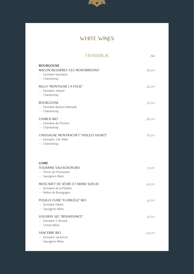

| <b>FRANKRIJK</b>                                                                              | fles  |
|-----------------------------------------------------------------------------------------------|-------|
| <b>BOURGOGNE</b><br>MACON-BUSSIÈRES 'LES MONTBRISONS'<br>- Domaine Saumaize<br>$-$ Chardonnay | 38,00 |
| RULLY 'MONTAGNE LA FOLIE'<br>- Domaine Jobard<br>$-$ Chardonnay                               | 45,00 |
| <b>BOURGOGNE</b><br>- Domaine Buisson-Battault<br>$-$ Chardonnay                              | 47,00 |
| <b>CHABLIS BIO</b><br>- Domaine de l'Enclos<br>$-$ Chardonnay                                 | 48,00 |
| <b>CHASSAGNE MONTRACHET 'VIEILLES VIGNES'</b><br>- Domaine J.M. Pillot<br>$-$ Chardonnay      | 76,00 |
| <b>LOIRE</b><br><b>TOURAINE SAUVIGNON BIO</b><br>- Terres de l'Aumonier<br>- Sauvignon Blanc  | 31,00 |
| MUSCADET DE SÈVRE-ET MAINE SUR LIE<br>- Domaine de la Pépière<br>- Melon de Bourgogne         | 42,00 |
| POUILLY-FUMÉ 'FLORILÈGE' BIO<br>- Domaine Pabiot<br>- Sauvignon Blanc                         | 47,00 |
| VOUVRAY SEC 'RENAISSANCE'<br>- Domaine S. Brunet<br>- Chenin Blanc                            | 47,00 |
| <b>SANCERRE BIO</b><br>- Domaine Vacheron<br>- Sauvignon Blanc                                | 54,00 |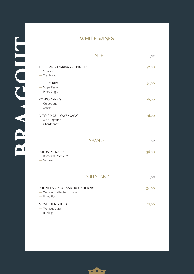|                                                                                 | <b>ITALIË</b>    | fles  |
|---------------------------------------------------------------------------------|------------------|-------|
| TREBBIANO D'ABRUZZO 'PROPE'<br>- Velonosi<br>$-$ Trebbiano                      |                  | 32,00 |
| FRIULI 'GRIVO'<br>- Volpe Pasini<br>- Pinot Grigio                              |                  | 34,00 |
| ROERO ARNEIS<br>- Guidobono<br>- Arneis                                         |                  | 36,00 |
| ALTO ADIGE 'LÖWENGANG'<br>- Alois Lageder<br>- Chardonnay                       |                  | 76,00 |
|                                                                                 | <b>SPANJE</b>    | fles  |
| RUEDA 'MENADE'<br>- Bordegas 'Menade'<br>— Verdejo                              |                  | 36,00 |
|                                                                                 | <b>DUITSLAND</b> | fles  |
| RHEINHESSEN WEISSBURGUNDUR 'R'<br>- Weingut Battenfeld Spanier<br>- Pinot Blanc |                  | 34,00 |
| MOSEL JUNGHELD<br>- Weingut Claes<br>- Riesling                                 |                  | 37,00 |



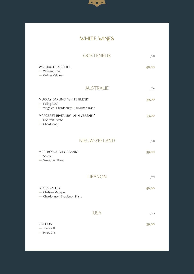

|                                                                                             | <b>OOSTENRIJK</b> | fles  |
|---------------------------------------------------------------------------------------------|-------------------|-------|
| WACHAU FEDERSPIEL<br>- Weingut Knoll<br>- Grüner Veltliner                                  |                   | 48,00 |
|                                                                                             | <b>AUSTRALIË</b>  | fles  |
| MURRAY DARLING 'WHITE BLEND'<br>- Falling Rock<br>- Viognier   Chardonnay   Sauvignon Blanc |                   | 39,00 |
| MARGERET RIVER '20TH ANNIVERSARY'<br>- Leeuwin Estate<br>$-$ Chardonnay                     |                   | 53,00 |
|                                                                                             | NIEUW-ZEELAND     | fles  |
| MARLBOROUGH ORGANIC<br>$-$ Seresin<br>- Sauvignon Blanc                                     |                   | 39,00 |
|                                                                                             | <b>LIBANON</b>    | fles  |
| <b>BÉKAA VALLEY</b><br>- Château Marsyas<br>- Chardonnay   Sauvignon Blanc                  |                   | 46,00 |
|                                                                                             | <b>USA</b>        | fles  |
| OREGON<br>$-$ Joel Gott<br>- Pinot Gris                                                     |                   | 39,00 |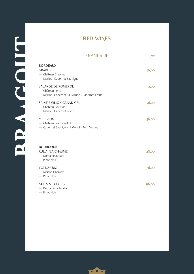|                                                                                                 | <b>FRANKRIJK</b><br>fles |
|-------------------------------------------------------------------------------------------------|--------------------------|
| <b>BORDEAUX</b><br><b>GRAVES</b><br>- Château Crabitey<br>- Merlot   Cabernet Sauvignon         | 36,00                    |
| <b>LALANDE DE POMEROL</b><br>- Château Perron<br>- Merlot   Cabernet Sauvignon   Cabernet Franc | 52,00                    |
| SAINT-EMILION GRAND CRU<br>- Château Boutisse<br>- Merlot   Cabernet Franc                      | 56,00                    |
| <b>MARGAUX</b><br>$-$ Château Les Barraillots<br>- Cabernet Sauvignon   Merlot   Petit Verdot   | 56,00                    |
| <b>BOURGOGNE</b><br>RULLY 'LA CHAUME'<br>- Domaine Jobard<br>- Pinot Noir                       | 48,00                    |
| <b>VOLNAY BIO</b><br>- Maison Champy<br>$-$ Pinot Noir                                          | 76,00                    |
| NUITS-ST-GEORGES<br>- Domaine Cotetidot<br>- Pinot Noir                                         | 96,00                    |

FILLON V RES

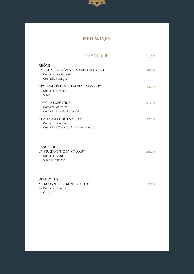

# RED WINES

|                                                                                                           | <b>FRANKRIJK</b> | fles  |
|-----------------------------------------------------------------------------------------------------------|------------------|-------|
| <b>RHÔNE</b><br>COSTIÈRES DE NÎMES 'LES GRIMAUDES' BIO<br>- Domaine Kreydenweiss<br>- Grenache   Carignan |                  | 28,00 |
| CROZES-HERMITAGE 'LAURENT COMBIER'<br>- Domaine Combier<br>$-$ Syrah                                      |                  | 43,00 |
| <b>LIRAC LA LORENTINE</b><br>— Domaine Marcoux<br>- Grenache   Syrah   Mourvèdre                          |                  | 47,00 |
| CHÂTEAUNEUF DU PAPE BIO<br>- Domaine Saint Préfert<br>- Grenache   Cinsault   Syrah   Mourvèdre           |                  | 57,00 |
| <b>LANGUEDOC</b><br>LANGUEDOC 'PIC SAINT LOUP'<br>- Domaine Peyrus<br>- Syrah I Grenache                  |                  | 46,00 |
| <b>BEAUJOLAIS</b><br>MORGON 'LÉGÈREMENT SOUFFRÉ'<br>- Domaine Lapierre<br>$-$ Gamay                       |                  | 47,00 |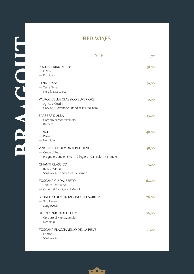| <b>ITALIË</b>                                                                                                   | fles  |
|-----------------------------------------------------------------------------------------------------------------|-------|
| PUGLIA 'PRIMONERO'<br>- Li Veli<br>$-$ Primitivo                                                                | 31,00 |
| <b>ETNA ROSSO</b><br>- Terre Nere<br>- Nerello Mascalese                                                        | 39,00 |
| VALPOLICELLA CLASSICO SUPERIORE<br>- Agricola Cottini<br>- Corvina   Corvinone   Rondinella   Molinara          | 41,00 |
| <b>BARBERA D'ALBA</b><br>- Cordero di Montezemolo<br>$-$ Barbera                                                | 45,00 |
| LANGHE<br>- Parusso<br>$-$ Nebbiolo                                                                             | 48,00 |
| VINO NOBILE DI MONTEPULCIANO<br>- Croce di Febo<br>- Prugnolo Gentile   Syrah   Ciliegiolo   Canaiolo   Mammolo | 48,00 |
| <b>CHIANTI CLASSICO</b><br>— Renzo Marinai<br>- Sangiovese   Carbernet Sauvignon                                | 55,00 |
| <b>TOSCANA GUIDALBERTO</b><br>- Tenuta San Guido<br>- Cabernet Sauvignon   Merlot                               | 64,00 |
| BRUNELLO DI MONTALCINO 'PELAGRILLI'<br>- Siro Pacenti<br>$-$ Sangiovese                                         | 76,00 |
| <b>BAROLO 'MONFALLETTO'</b><br>- Cordero di Montezemolo<br>$-$ Nebbiolo                                         | 76,00 |
| TOSCANA FLACCIANELLO DELLA PIEVE<br>- Fontodi<br>- Sangiovese                                                   | 97,00 |



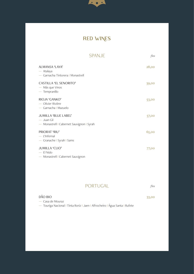

# RED WINES

| <b>SPANJE</b>                                                                            | fles  |
|------------------------------------------------------------------------------------------|-------|
| ALMANSA 'LAYA'<br>— Atalaya<br>- Garnacha Tintorera   Monastrell                         | 28,00 |
| <b>CASTILLA 'EL SENORITO'</b><br>— Más que Vinos<br>$-$ Tempranillo                      | 39,00 |
| RIOJA 'GANKO'<br>- Olivier Rivière<br>- Garnacha   Mazuelo                               | 53,00 |
| <b>JUMILLA 'BLUE LABEL'</b><br>$-$ Juan Gil<br>- Monastrell   Cabernet Sauvignon   Syrah | 57,00 |
| PRIORAT 'RIU'<br>$-$ L'Infernal<br>- Granache I Syrah I Sams                             | 65,00 |
| <b>JUMILLA 'CLIO'</b><br>$-$ El Nido<br>- Monastrell   Cabernet Sauvignon                | 77,00 |

#### PORTUGAL *fles*

| DÃO BIO          | 33,00 |  |
|------------------|-------|--|
| — Casa de Mouraz |       |  |

— Touriga Nacional I Tinta Roriz I Jaen I Alfrocheiro I Água Santa I Rufete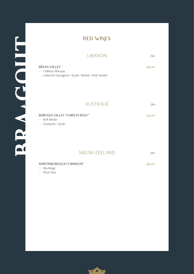| <b>LIBANON</b><br>fles |
|------------------------|
|------------------------|

| BÉKAA VALLEY<br>— Château Marsyas<br>- Cabernet Sauvignon   Syrah   Merlot   Petit Verdot |                  | 49,00       |
|-------------------------------------------------------------------------------------------|------------------|-------------|
|                                                                                           |                  |             |
|                                                                                           | <b>AUSTRALIE</b> | <i>fles</i> |

BAROSSA VALLEY 'CHRISTA ROLF' 34,00 — Rolf Binder — Grenache I Syrah

NIEUW-ZEELAND *fles*

| MARTINBOROUGH 'CRIMSON' | 46,00 |
|-------------------------|-------|
| — Ata Rangi             |       |

— Pinot Noir

HAIION V RB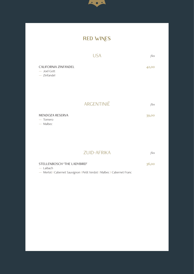

|                                                             | <b>USA</b> | fles  |
|-------------------------------------------------------------|------------|-------|
| <b>CALIFORNIA ZINFANDEL</b><br>— Joel Gott<br>$-$ Zinfandel |            | 42,00 |

ARGENTINIË *fles*

MENDOZA RESERVA 39,00 — Tomero — Malbec

ZUID-AFRIKA *fles*

| STELLENBOSCH 'THE LADYBIRD' | 36,00 |
|-----------------------------|-------|
| — Laibach                   |       |
|                             |       |

— Merlot I Cabernet Sauvignon I Petit Verdot I Malbec I Cabernet Franc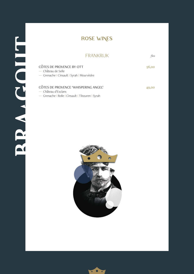### ROSE WINES

#### FRANKRIJK *fles*

| CÔTES DE PROVENCE BY OTT<br>— Château de Selle<br>- Grenache   Cinsault   Syrah   Mourvèdre | 56,00 |
|---------------------------------------------------------------------------------------------|-------|
| CÔTES DE PROVENCE 'WHISPERING ANGEL'<br>— Château d'Esclans                                 | 49,00 |

— Grenache I Rolle I Cinsault I Tibouren I Syrah



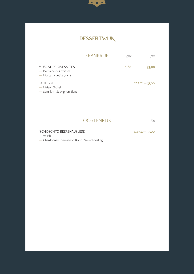

### **DESSERTWIJN**

|                                                                                 | <b>FRANKRIJK</b> | glas | fles                 |
|---------------------------------------------------------------------------------|------------------|------|----------------------|
| <b>MUSCAT DE RIVESALTES</b><br>— Domaine des Chênes<br>— Muscat à petits grains |                  | 6,60 | 33,00                |
| <b>SAUTERNES</b><br>— Maison Sichel<br>- Semillon I Sauvignon Blanc             |                  |      | $37.5 \, CL - 31,00$ |

#### OOSTENRIJK *fles*

'SCHOSCHTO BEERENAUSLESE' *37,5 CL* — 37,00 — Velich

— Chardonnay I Sauvignon Blanc I Welschriesling